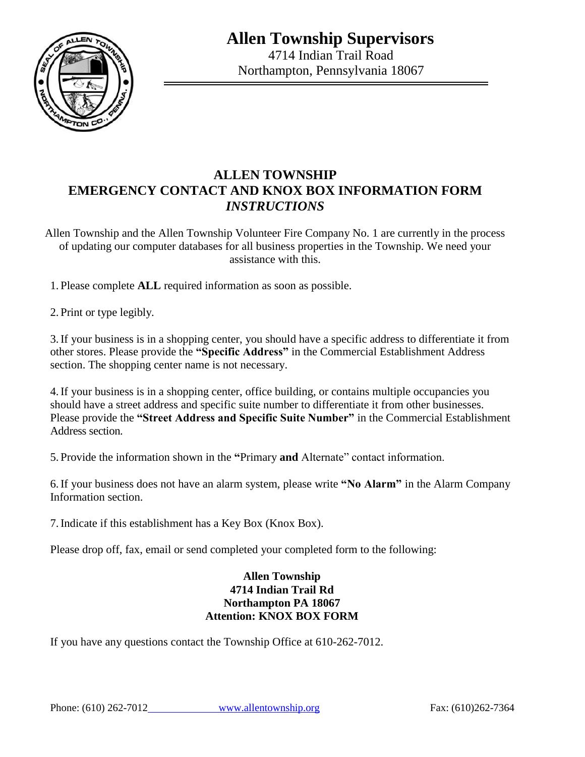**Allen Township Supervisors**



4714 Indian Trail Road Northampton, Pennsylvania 18067

## **ALLEN TOWNSHIP EMERGENCY CONTACT AND KNOX BOX INFORMATION FORM** *INSTRUCTIONS*

Allen Township and the Allen Township Volunteer Fire Company No. 1 are currently in the process of updating our computer databases for all business properties in the Township. We need your assistance with this.

1. Please complete **ALL** required information as soon as possible.

2. Print or type legibly.

3.If your business is in a shopping center, you should have a specific address to differentiate it from other stores. Please provide the **"Specific Address"** in the Commercial Establishment Address section. The shopping center name is not necessary.

4.If your business is in a shopping center, office building, or contains multiple occupancies you should have a street address and specific suite number to differentiate it from other businesses. Please provide the **"Street Address and Specific Suite Number"** in the Commercial Establishment Address section.

5. Provide the information shown in the **"**Primary **and** Alternate" contact information.

6.If your business does not have an alarm system, please write **"No Alarm"** in the Alarm Company Information section.

7.Indicate if this establishment has a Key Box (Knox Box).

Please drop off, fax, email or send completed your completed form to the following:

#### **Allen Township 4714 Indian Trail Rd Northampton PA 18067 Attention: KNOX BOX FORM**

If you have any questions contact the Township Office at 610-262-7012.